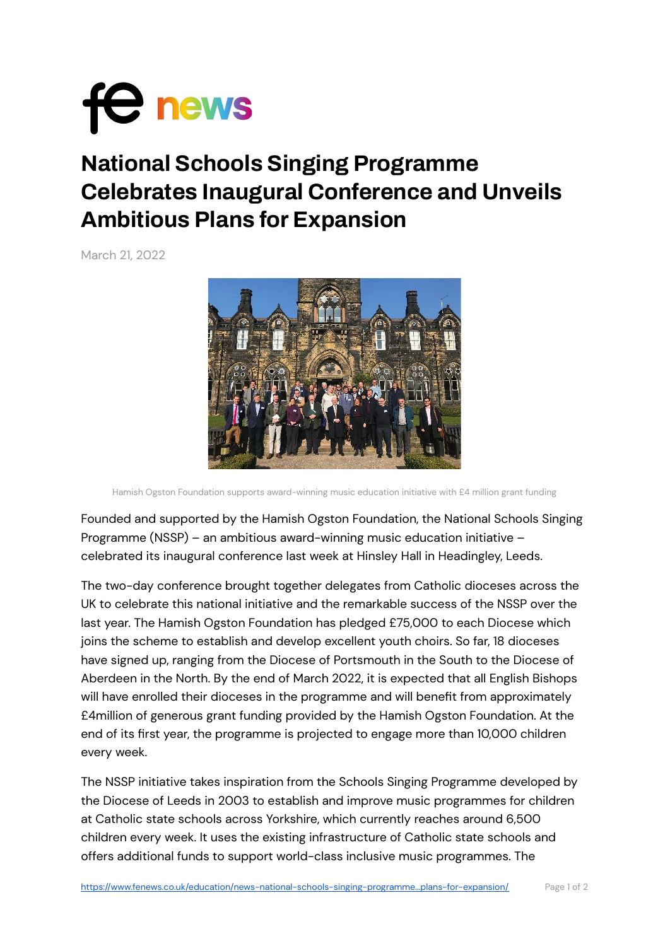

## **National Schools Singing Programme Celebrates Inaugural Conference and Unveils Ambitious Plans for Expansion**

March 21, 2022



Hamish Ogston Foundation supports award-winning music education initiative with £4 million grant funding

Founded and supported by the Hamish Ogston Foundation, the National Schools Singing Programme (NSSP) – an ambitious award-winning music education initiative – celebrated its inaugural conference last week at Hinsley Hall in Headingley, Leeds.

The two-day conference brought together delegates from Catholic dioceses across the UK to celebrate this national initiative and the remarkable success of the NSSP over the last year. The Hamish Ogston Foundation has pledged £75,000 to each Diocese which joins the scheme to establish and develop excellent youth choirs. So far, 18 dioceses have signed up, ranging from the Diocese of Portsmouth in the South to the Diocese of Aberdeen in the North. By the end of March 2022, it is expected that all English Bishops will have enrolled their dioceses in the programme and will benefit from approximately £4million of generous grant funding provided by the Hamish Ogston Foundation. At the end of its first year, the programme is projected to engage more than 10,000 children every week.

The NSSP initiative takes inspiration from the Schools Singing Programme developed by the Diocese of Leeds in 2003 to establish and improve music programmes for children at Catholic state schools across Yorkshire, which currently reaches around 6,500 children every week. It uses the existing infrastructure of Catholic state schools and offers additional funds to support world-class inclusive music programmes. The